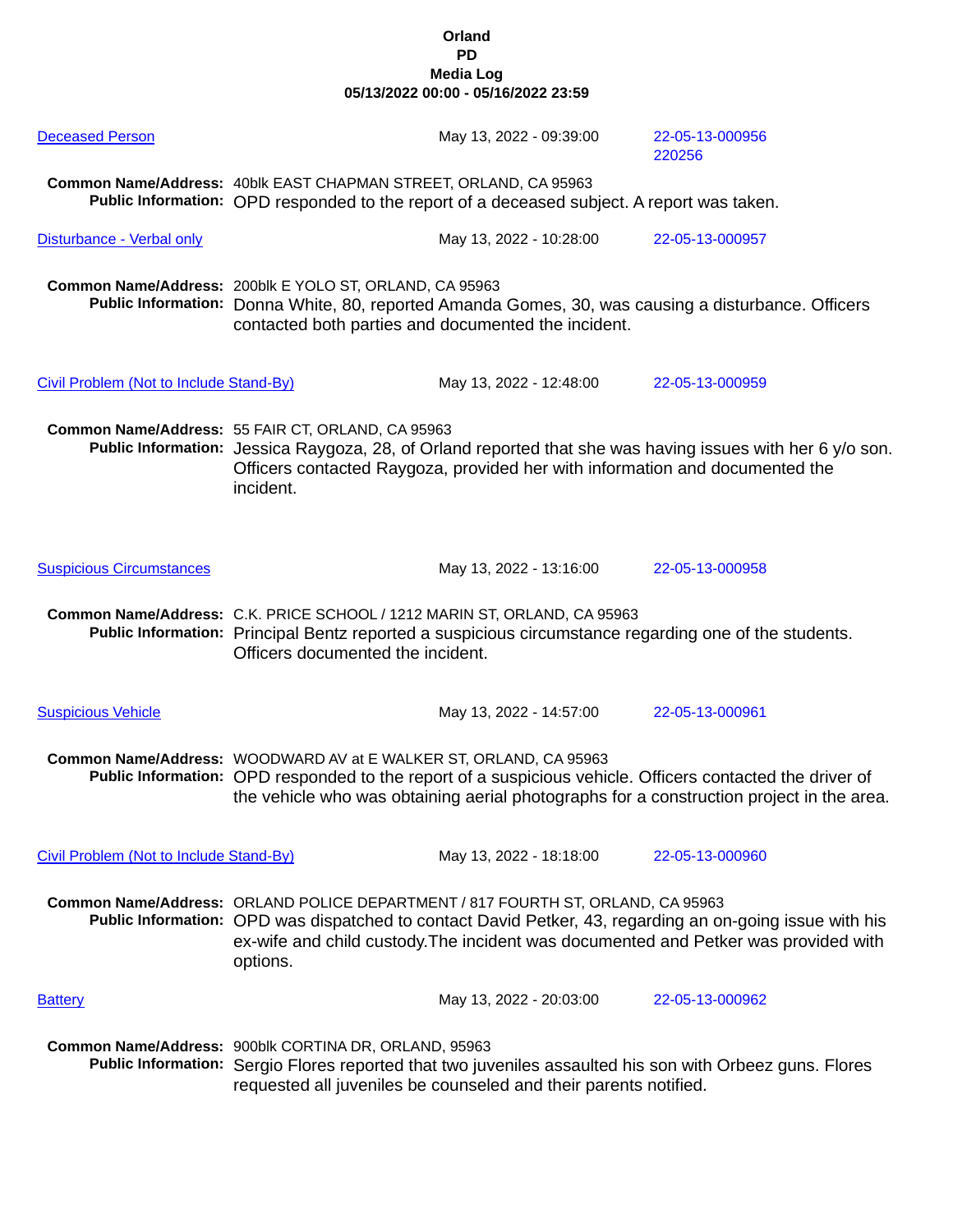| <b>Deceased Person</b>                  |                                                                                                                                                                                                                                                                                                | May 13, 2022 - 09:39:00                                                      | 22-05-13-000956<br>220256                                                                                                                                                                             |
|-----------------------------------------|------------------------------------------------------------------------------------------------------------------------------------------------------------------------------------------------------------------------------------------------------------------------------------------------|------------------------------------------------------------------------------|-------------------------------------------------------------------------------------------------------------------------------------------------------------------------------------------------------|
|                                         | Common Name/Address: 40blk EAST CHAPMAN STREET, ORLAND, CA 95963<br>Public Information: OPD responded to the report of a deceased subject. A report was taken.                                                                                                                                 |                                                                              |                                                                                                                                                                                                       |
| Disturbance - Verbal only               |                                                                                                                                                                                                                                                                                                | May 13, 2022 - 10:28:00                                                      | 22-05-13-000957                                                                                                                                                                                       |
|                                         | Common Name/Address: 200blk E YOLO ST, ORLAND, CA 95963<br>Public Information: Donna White, 80, reported Amanda Gomes, 30, was causing a disturbance. Officers<br>contacted both parties and documented the incident.                                                                          |                                                                              |                                                                                                                                                                                                       |
| Civil Problem (Not to Include Stand-By) |                                                                                                                                                                                                                                                                                                | May 13, 2022 - 12:48:00                                                      | 22-05-13-000959                                                                                                                                                                                       |
|                                         | Common Name/Address: 55 FAIR CT, ORLAND, CA 95963<br>incident.                                                                                                                                                                                                                                 | Officers contacted Raygoza, provided her with information and documented the | Public Information: Jessica Raygoza, 28, of Orland reported that she was having issues with her 6 y/o son.                                                                                            |
| <b>Suspicious Circumstances</b>         |                                                                                                                                                                                                                                                                                                | May 13, 2022 - 13:16:00                                                      | 22-05-13-000958                                                                                                                                                                                       |
|                                         | Common Name/Address: C.K. PRICE SCHOOL / 1212 MARIN ST, ORLAND, CA 95963<br>Public Information: Principal Bentz reported a suspicious circumstance regarding one of the students.<br>Officers documented the incident.                                                                         |                                                                              |                                                                                                                                                                                                       |
| <b>Suspicious Vehicle</b>               |                                                                                                                                                                                                                                                                                                | May 13, 2022 - 14:57:00                                                      | 22-05-13-000961                                                                                                                                                                                       |
|                                         | Common Name/Address: WOODWARD AV at E WALKER ST, ORLAND, CA 95963                                                                                                                                                                                                                              |                                                                              | Public Information: OPD responded to the report of a suspicious vehicle. Officers contacted the driver of<br>the vehicle who was obtaining aerial photographs for a construction project in the area. |
| Civil Problem (Not to Include Stand-By) |                                                                                                                                                                                                                                                                                                | May 13, 2022 - 18:18:00                                                      | 22-05-13-000960                                                                                                                                                                                       |
|                                         | Common Name/Address: ORLAND POLICE DEPARTMENT / 817 FOURTH ST, ORLAND, CA 95963<br>Public Information: OPD was dispatched to contact David Petker, 43, regarding an on-going issue with his<br>ex-wife and child custody. The incident was documented and Petker was provided with<br>options. |                                                                              |                                                                                                                                                                                                       |
| <b>Battery</b>                          |                                                                                                                                                                                                                                                                                                | May 13, 2022 - 20:03:00                                                      | 22-05-13-000962                                                                                                                                                                                       |
|                                         | Common Name/Address: 900blk CORTINA DR, ORLAND, 95963                                                                                                                                                                                                                                          | requested all juveniles be counseled and their parents notified.             | Public Information: Sergio Flores reported that two juveniles assaulted his son with Orbeez guns. Flores                                                                                              |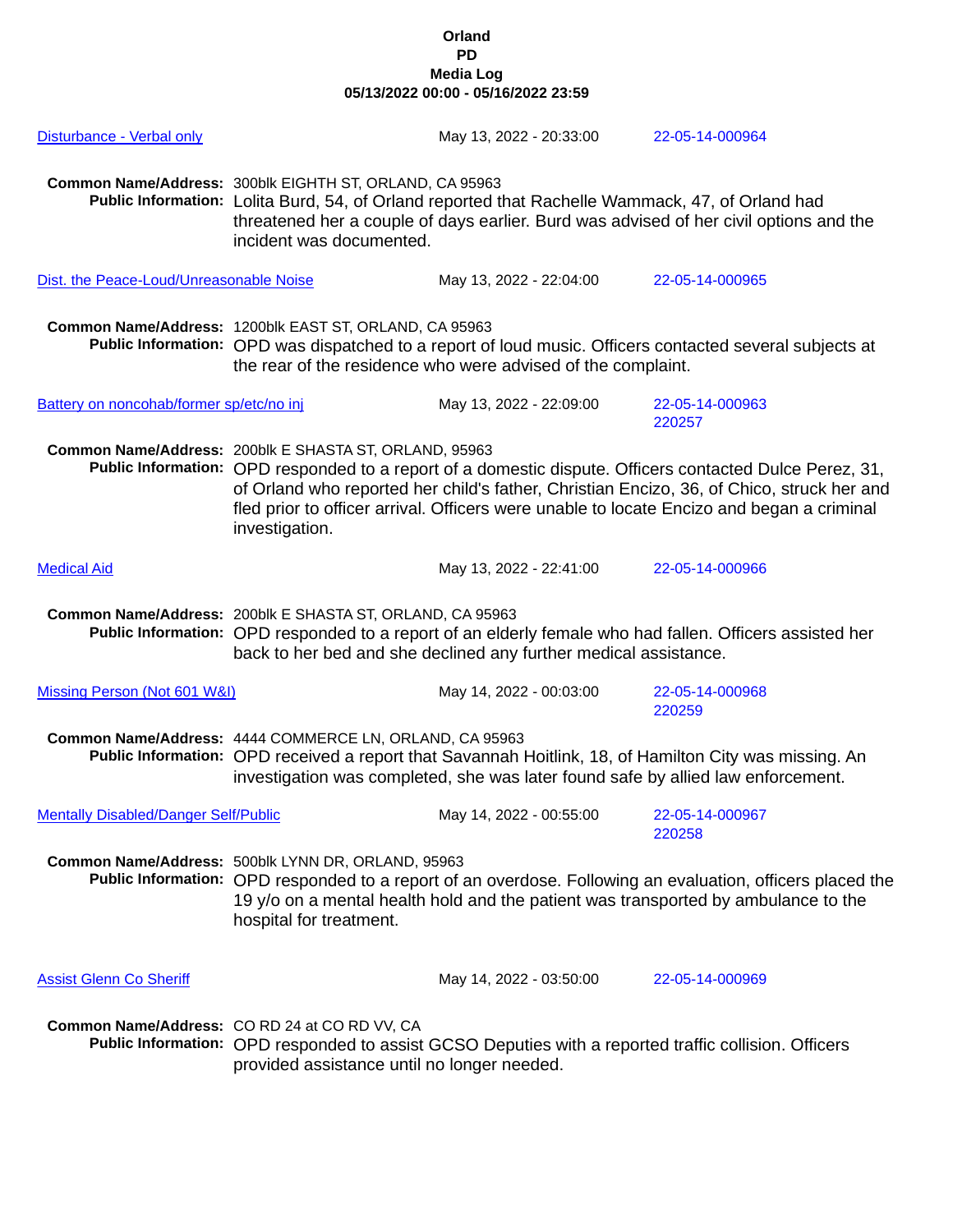| Disturbance - Verbal only                   |                                                                                                                                                                                                                                                                                                                                                                                | May 13, 2022 - 20:33:00                                                                               | 22-05-14-000964                                                                                        |
|---------------------------------------------|--------------------------------------------------------------------------------------------------------------------------------------------------------------------------------------------------------------------------------------------------------------------------------------------------------------------------------------------------------------------------------|-------------------------------------------------------------------------------------------------------|--------------------------------------------------------------------------------------------------------|
|                                             | Common Name/Address: 300blk EIGHTH ST, ORLAND, CA 95963<br>Public Information: Lolita Burd, 54, of Orland reported that Rachelle Wammack, 47, of Orland had<br>threatened her a couple of days earlier. Burd was advised of her civil options and the<br>incident was documented.                                                                                              |                                                                                                       |                                                                                                        |
| Dist. the Peace-Loud/Unreasonable Noise     |                                                                                                                                                                                                                                                                                                                                                                                | May 13, 2022 - 22:04:00                                                                               | 22-05-14-000965                                                                                        |
|                                             | Common Name/Address: 1200blk EAST ST, ORLAND, CA 95963<br>Public Information: OPD was dispatched to a report of loud music. Officers contacted several subjects at<br>the rear of the residence who were advised of the complaint.                                                                                                                                             |                                                                                                       |                                                                                                        |
| Battery on noncohab/former sp/etc/no inj    |                                                                                                                                                                                                                                                                                                                                                                                | May 13, 2022 - 22:09:00                                                                               | 22-05-14-000963<br>220257                                                                              |
|                                             | Common Name/Address: 200blk E SHASTA ST, ORLAND, 95963<br>Public Information: OPD responded to a report of a domestic dispute. Officers contacted Dulce Perez, 31,<br>of Orland who reported her child's father, Christian Encizo, 36, of Chico, struck her and<br>fled prior to officer arrival. Officers were unable to locate Encizo and began a criminal<br>investigation. |                                                                                                       |                                                                                                        |
| <b>Medical Aid</b>                          |                                                                                                                                                                                                                                                                                                                                                                                | May 13, 2022 - 22:41:00                                                                               | 22-05-14-000966                                                                                        |
|                                             | Common Name/Address: 200blk E SHASTA ST, ORLAND, CA 95963<br>Public Information: OPD responded to a report of an elderly female who had fallen. Officers assisted her<br>back to her bed and she declined any further medical assistance.                                                                                                                                      |                                                                                                       |                                                                                                        |
| Missing Person (Not 601 W&I)                | May 14, 2022 - 00:03:00<br>22-05-14-000968                                                                                                                                                                                                                                                                                                                                     |                                                                                                       | 220259                                                                                                 |
|                                             | Common Name/Address: 4444 COMMERCE LN, ORLAND, CA 95963                                                                                                                                                                                                                                                                                                                        | investigation was completed, she was later found safe by allied law enforcement.                      | Public Information: OPD received a report that Savannah Hoitlink, 18, of Hamilton City was missing. An |
| <b>Mentally Disabled/Danger Self/Public</b> |                                                                                                                                                                                                                                                                                                                                                                                | May 14, 2022 - 00:55:00                                                                               | 22-05-14-000967<br>220258                                                                              |
|                                             | Common Name/Address: 500blk LYNN DR, ORLAND, 95963<br>Public Information: OPD responded to a report of an overdose. Following an evaluation, officers placed the<br>19 y/o on a mental health hold and the patient was transported by ambulance to the<br>hospital for treatment.                                                                                              |                                                                                                       |                                                                                                        |
| <b>Assist Glenn Co Sheriff</b>              |                                                                                                                                                                                                                                                                                                                                                                                | May 14, 2022 - 03:50:00                                                                               | 22-05-14-000969                                                                                        |
|                                             | Common Name/Address: CO RD 24 at CO RD VV, CA<br>provided assistance until no longer needed.                                                                                                                                                                                                                                                                                   | Public Information: OPD responded to assist GCSO Deputies with a reported traffic collision. Officers |                                                                                                        |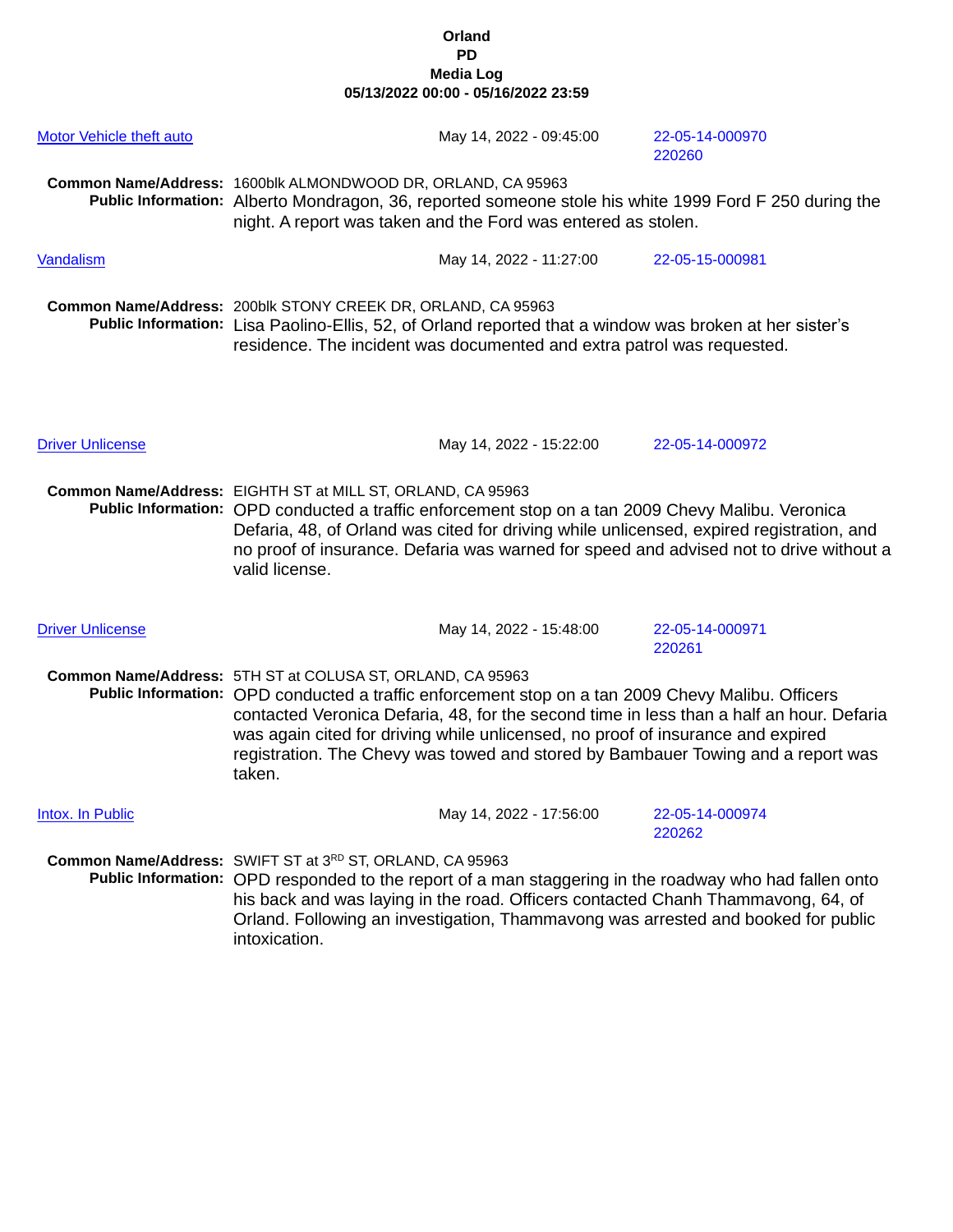| Motor Vehicle theft auto | May 14, 2022 - 09:45:00                                                                                                                                                                                                                                                                                                                                                                                                                      | 22-05-14-000970<br>220260 |  |
|--------------------------|----------------------------------------------------------------------------------------------------------------------------------------------------------------------------------------------------------------------------------------------------------------------------------------------------------------------------------------------------------------------------------------------------------------------------------------------|---------------------------|--|
|                          | Common Name/Address: 1600blk ALMONDWOOD DR, ORLAND, CA 95963<br>Public Information: Alberto Mondragon, 36, reported someone stole his white 1999 Ford F 250 during the<br>night. A report was taken and the Ford was entered as stolen.                                                                                                                                                                                                      |                           |  |
| Vandalism                | May 14, 2022 - 11:27:00                                                                                                                                                                                                                                                                                                                                                                                                                      | 22-05-15-000981           |  |
|                          | Common Name/Address: 200blk STONY CREEK DR, ORLAND, CA 95963<br>Public Information: Lisa Paolino-Ellis, 52, of Orland reported that a window was broken at her sister's<br>residence. The incident was documented and extra patrol was requested.                                                                                                                                                                                            |                           |  |
| <b>Driver Unlicense</b>  | May 14, 2022 - 15:22:00                                                                                                                                                                                                                                                                                                                                                                                                                      | 22-05-14-000972           |  |
|                          | Common Name/Address: EIGHTH ST at MILL ST, ORLAND, CA 95963<br>Public Information: OPD conducted a traffic enforcement stop on a tan 2009 Chevy Malibu. Veronica<br>Defaria, 48, of Orland was cited for driving while unlicensed, expired registration, and<br>no proof of insurance. Defaria was warned for speed and advised not to drive without a<br>valid license.                                                                     |                           |  |
| <b>Driver Unlicense</b>  | May 14, 2022 - 15:48:00                                                                                                                                                                                                                                                                                                                                                                                                                      | 22-05-14-000971<br>220261 |  |
|                          | Common Name/Address: 5TH ST at COLUSA ST, ORLAND, CA 95963<br>Public Information: OPD conducted a traffic enforcement stop on a tan 2009 Chevy Malibu. Officers<br>contacted Veronica Defaria, 48, for the second time in less than a half an hour. Defaria<br>was again cited for driving while unlicensed, no proof of insurance and expired<br>registration. The Chevy was towed and stored by Bambauer Towing and a report was<br>taken. |                           |  |
| Intox. In Public         | May 14, 2022 - 17:56:00                                                                                                                                                                                                                                                                                                                                                                                                                      | 22-05-14-000974<br>220262 |  |
|                          | Common Name/Address: SWIFT ST at 3RD ST, ORLAND, CA 95963<br>Public Information: OPD responded to the report of a man staggering in the roadway who had fallen onto<br>his back and was laying in the road. Officers contacted Chanh Thammavong, 64, of<br>Orland. Following an investigation, Thammavong was arrested and booked for public<br>intoxication.                                                                                |                           |  |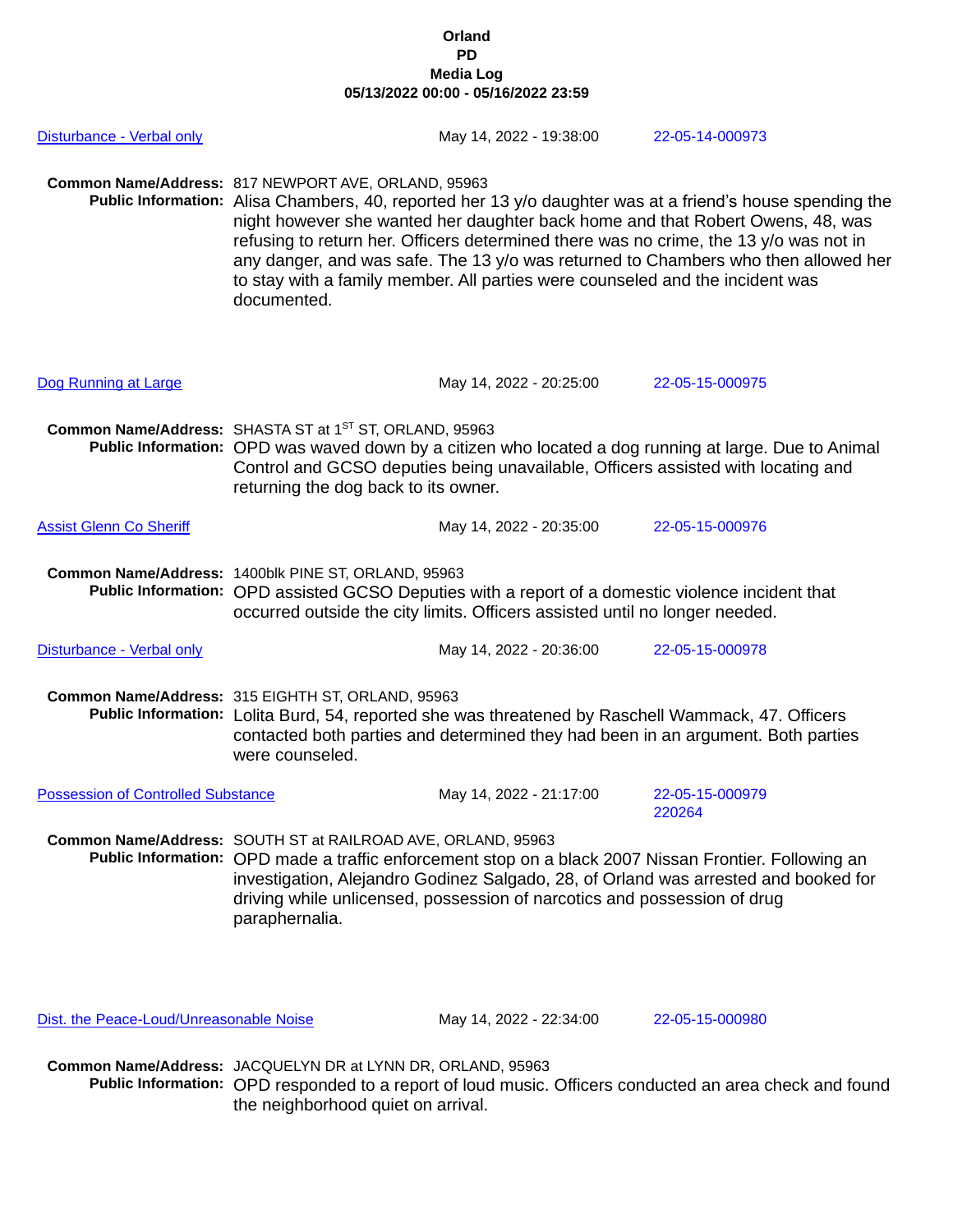| Disturbance - Verbal only                 |                                                                                                                                                                                                                                                                                                                                                            | May 14, 2022 - 19:38:00 |  | 22-05-14-000973                                                                                                                                                                                                                                                                                                                                                            |
|-------------------------------------------|------------------------------------------------------------------------------------------------------------------------------------------------------------------------------------------------------------------------------------------------------------------------------------------------------------------------------------------------------------|-------------------------|--|----------------------------------------------------------------------------------------------------------------------------------------------------------------------------------------------------------------------------------------------------------------------------------------------------------------------------------------------------------------------------|
|                                           | Common Name/Address: 817 NEWPORT AVE, ORLAND, 95963<br>to stay with a family member. All parties were counseled and the incident was<br>documented.                                                                                                                                                                                                        |                         |  | Public Information: Alisa Chambers, 40, reported her 13 y/o daughter was at a friend's house spending the<br>night however she wanted her daughter back home and that Robert Owens, 48, was<br>refusing to return her. Officers determined there was no crime, the 13 y/o was not in<br>any danger, and was safe. The 13 y/o was returned to Chambers who then allowed her |
| Dog Running at Large                      |                                                                                                                                                                                                                                                                                                                                                            | May 14, 2022 - 20:25:00 |  | 22-05-15-000975                                                                                                                                                                                                                                                                                                                                                            |
|                                           | Common Name/Address: SHASTA ST at 1ST ST, ORLAND, 95963<br>returning the dog back to its owner.                                                                                                                                                                                                                                                            |                         |  | Public Information: OPD was waved down by a citizen who located a dog running at large. Due to Animal<br>Control and GCSO deputies being unavailable, Officers assisted with locating and                                                                                                                                                                                  |
| <b>Assist Glenn Co Sheriff</b>            |                                                                                                                                                                                                                                                                                                                                                            | May 14, 2022 - 20:35:00 |  | 22-05-15-000976                                                                                                                                                                                                                                                                                                                                                            |
|                                           | Common Name/Address: 1400blk PINE ST, ORLAND, 95963<br>Public Information: OPD assisted GCSO Deputies with a report of a domestic violence incident that<br>occurred outside the city limits. Officers assisted until no longer needed.                                                                                                                    |                         |  |                                                                                                                                                                                                                                                                                                                                                                            |
| Disturbance - Verbal only                 |                                                                                                                                                                                                                                                                                                                                                            | May 14, 2022 - 20:36:00 |  | 22-05-15-000978                                                                                                                                                                                                                                                                                                                                                            |
|                                           | Common Name/Address: 315 EIGHTH ST, ORLAND, 95963<br>Public Information: Lolita Burd, 54, reported she was threatened by Raschell Wammack, 47. Officers<br>contacted both parties and determined they had been in an argument. Both parties<br>were counseled.                                                                                             |                         |  |                                                                                                                                                                                                                                                                                                                                                                            |
| <b>Possession of Controlled Substance</b> |                                                                                                                                                                                                                                                                                                                                                            | May 14, 2022 - 21:17:00 |  | 22-05-15-000979<br>220264                                                                                                                                                                                                                                                                                                                                                  |
|                                           | Common Name/Address: SOUTH ST at RAILROAD AVE, ORLAND, 95963<br>Public Information: OPD made a traffic enforcement stop on a black 2007 Nissan Frontier. Following an<br>investigation, Alejandro Godinez Salgado, 28, of Orland was arrested and booked for<br>driving while unlicensed, possession of narcotics and possession of drug<br>paraphernalia. |                         |  |                                                                                                                                                                                                                                                                                                                                                                            |

**Common Name/Address:** JACQUELYN DR at LYNN DR, ORLAND, 95963 **Public Information:** OPD responded to a report of loud music. Officers conducted an area check and found the neighborhood quiet on arrival.

Dist. the Peace-Loud/Unreasonable Noise May 14, 2022 - 22:34:00 22-05-15-000980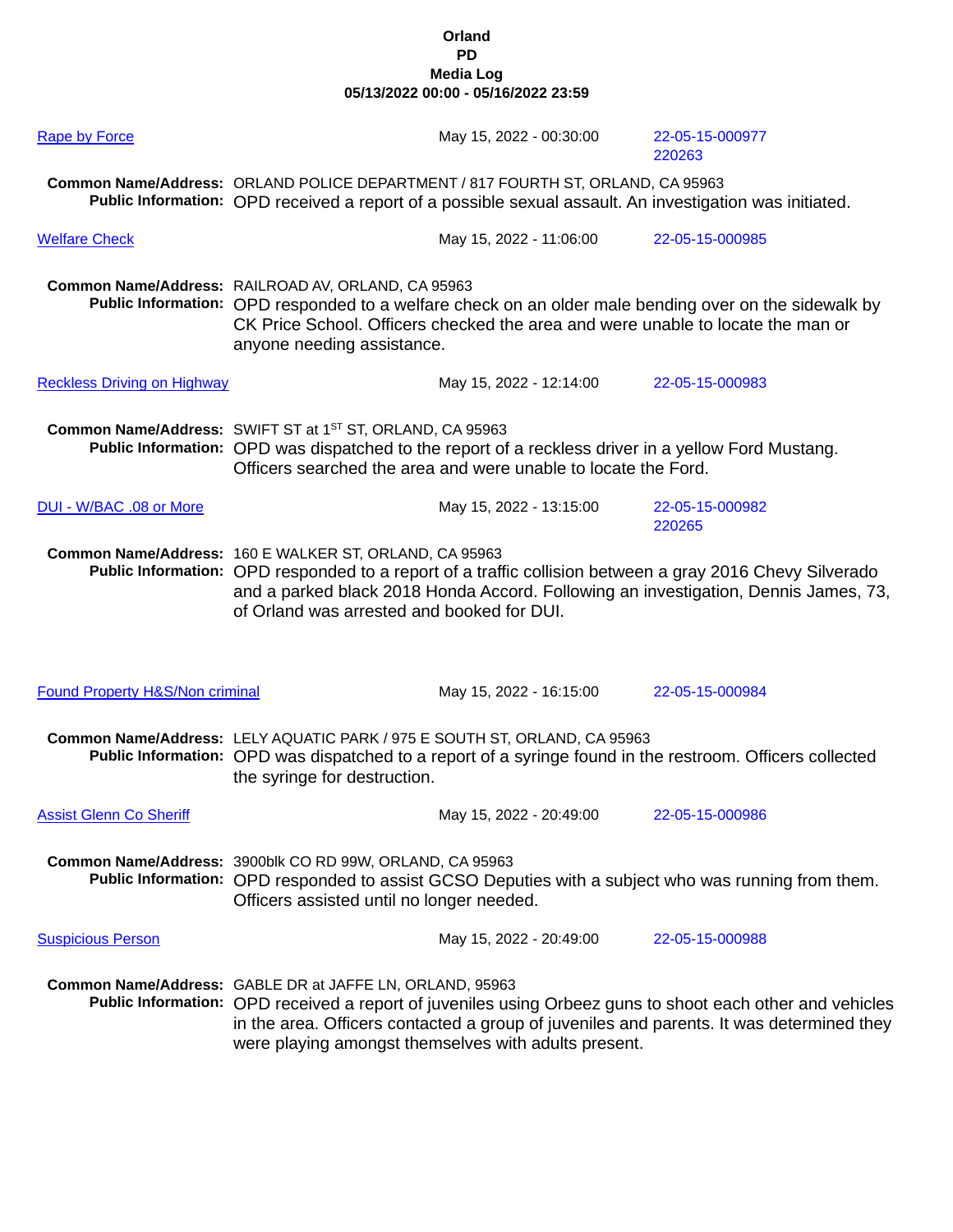| <b>Rape by Force</b>                       | May 15, 2022 - 00:30:00                                                                                                                                                                                                                                                                                                   | 22-05-15-000977<br>220263 |  |
|--------------------------------------------|---------------------------------------------------------------------------------------------------------------------------------------------------------------------------------------------------------------------------------------------------------------------------------------------------------------------------|---------------------------|--|
|                                            | Common Name/Address: ORLAND POLICE DEPARTMENT / 817 FOURTH ST, ORLAND, CA 95963<br>Public Information: OPD received a report of a possible sexual assault. An investigation was initiated.                                                                                                                                |                           |  |
| <b>Welfare Check</b>                       | May 15, 2022 - 11:06:00                                                                                                                                                                                                                                                                                                   | 22-05-15-000985           |  |
|                                            | Common Name/Address: RAILROAD AV, ORLAND, CA 95963<br>Public Information: OPD responded to a welfare check on an older male bending over on the sidewalk by<br>CK Price School. Officers checked the area and were unable to locate the man or<br>anyone needing assistance.                                              |                           |  |
| <b>Reckless Driving on Highway</b>         | May 15, 2022 - 12:14:00                                                                                                                                                                                                                                                                                                   | 22-05-15-000983           |  |
|                                            | Common Name/Address: SWIFT ST at 1ST ST, ORLAND, CA 95963<br>Public Information: OPD was dispatched to the report of a reckless driver in a yellow Ford Mustang.<br>Officers searched the area and were unable to locate the Ford.                                                                                        |                           |  |
| DUI - W/BAC .08 or More                    | May 15, 2022 - 13:15:00                                                                                                                                                                                                                                                                                                   | 22-05-15-000982<br>220265 |  |
|                                            | Common Name/Address: 160 E WALKER ST, ORLAND, CA 95963<br>Public Information: OPD responded to a report of a traffic collision between a gray 2016 Chevy Silverado<br>and a parked black 2018 Honda Accord. Following an investigation, Dennis James, 73,<br>of Orland was arrested and booked for DUI.                   |                           |  |
| <b>Found Property H&amp;S/Non criminal</b> | May 15, 2022 - 16:15:00                                                                                                                                                                                                                                                                                                   | 22-05-15-000984           |  |
|                                            | Common Name/Address: LELY AQUATIC PARK / 975 E SOUTH ST, ORLAND, CA 95963<br>Public Information: OPD was dispatched to a report of a syringe found in the restroom. Officers collected<br>the syringe for destruction.                                                                                                    |                           |  |
| <b>Assist Glenn Co Sheriff</b>             | May 15, 2022 - 20:49:00                                                                                                                                                                                                                                                                                                   | 22-05-15-000986           |  |
|                                            | Common Name/Address: 3900blk CO RD 99W, ORLAND, CA 95963<br>Public Information: OPD responded to assist GCSO Deputies with a subject who was running from them.<br>Officers assisted until no longer needed.                                                                                                              |                           |  |
| <b>Suspicious Person</b>                   | May 15, 2022 - 20:49:00                                                                                                                                                                                                                                                                                                   | 22-05-15-000988           |  |
|                                            | Common Name/Address: GABLE DR at JAFFE LN, ORLAND, 95963<br>Public Information: OPD received a report of juveniles using Orbeez guns to shoot each other and vehicles<br>in the area. Officers contacted a group of juveniles and parents. It was determined they<br>were playing amongst themselves with adults present. |                           |  |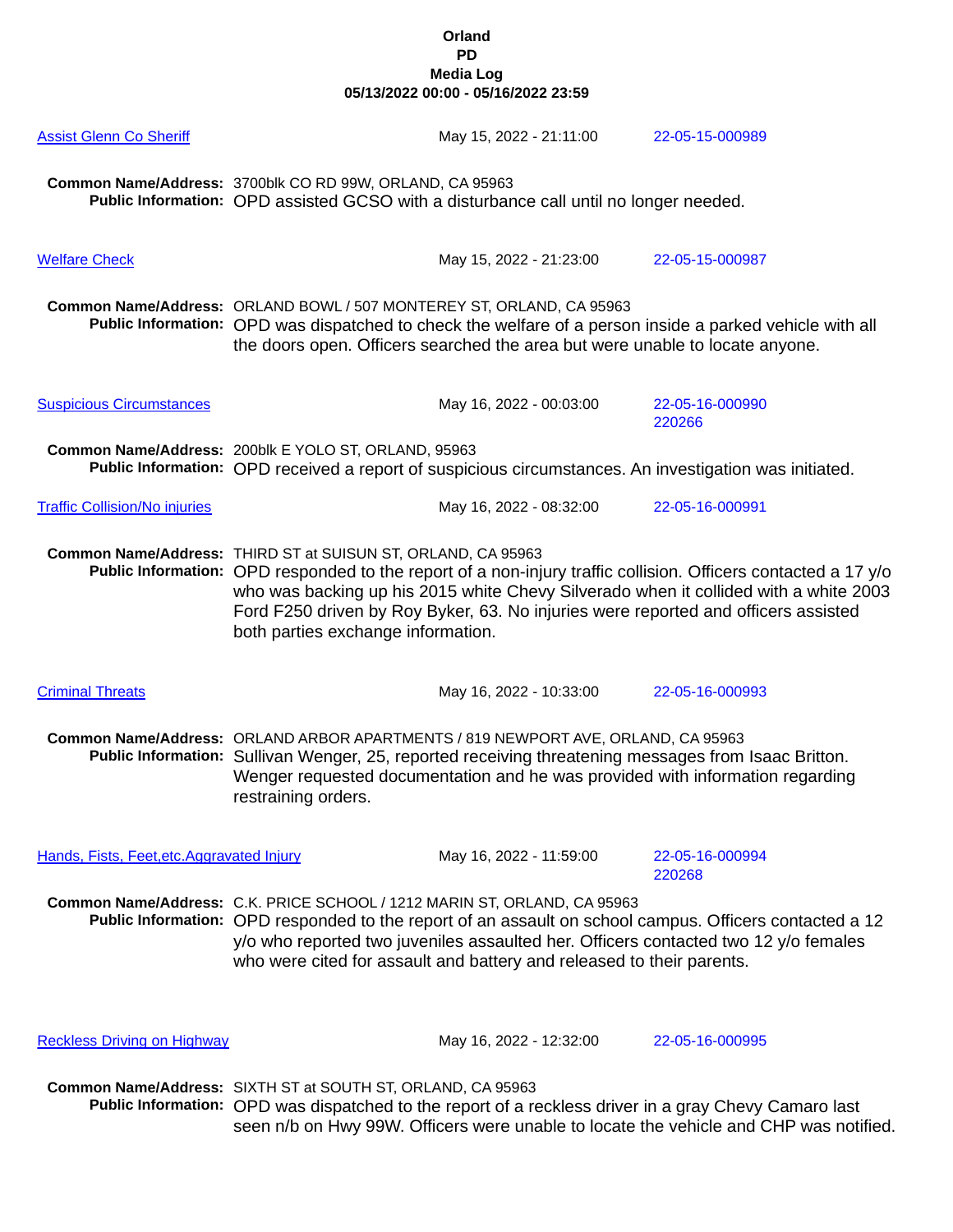| <b>Assist Glenn Co Sheriff</b>             | May 15, 2022 - 21:11:00                                                                                                                                                                                                                                                                                                                                                                            | 22-05-15-000989           |  |
|--------------------------------------------|----------------------------------------------------------------------------------------------------------------------------------------------------------------------------------------------------------------------------------------------------------------------------------------------------------------------------------------------------------------------------------------------------|---------------------------|--|
|                                            | Common Name/Address: 3700blk CO RD 99W, ORLAND, CA 95963<br>Public Information: OPD assisted GCSO with a disturbance call until no longer needed.                                                                                                                                                                                                                                                  |                           |  |
| <b>Welfare Check</b>                       | May 15, 2022 - 21:23:00                                                                                                                                                                                                                                                                                                                                                                            | 22-05-15-000987           |  |
|                                            | Common Name/Address: ORLAND BOWL / 507 MONTEREY ST, ORLAND, CA 95963<br>Public Information: OPD was dispatched to check the welfare of a person inside a parked vehicle with all<br>the doors open. Officers searched the area but were unable to locate anyone.                                                                                                                                   |                           |  |
| <b>Suspicious Circumstances</b>            | May 16, 2022 - 00:03:00                                                                                                                                                                                                                                                                                                                                                                            | 22-05-16-000990<br>220266 |  |
|                                            | Common Name/Address: 200blk E YOLO ST, ORLAND, 95963<br>Public Information: OPD received a report of suspicious circumstances. An investigation was initiated.                                                                                                                                                                                                                                     |                           |  |
| <b>Traffic Collision/No injuries</b>       | May 16, 2022 - 08:32:00                                                                                                                                                                                                                                                                                                                                                                            | 22-05-16-000991           |  |
|                                            | Common Name/Address: THIRD ST at SUISUN ST, ORLAND, CA 95963<br>Public Information: OPD responded to the report of a non-injury traffic collision. Officers contacted a 17 y/o<br>who was backing up his 2015 white Chevy Silverado when it collided with a white 2003<br>Ford F250 driven by Roy Byker, 63. No injuries were reported and officers assisted<br>both parties exchange information. |                           |  |
| <b>Criminal Threats</b>                    | May 16, 2022 - 10:33:00                                                                                                                                                                                                                                                                                                                                                                            | 22-05-16-000993           |  |
|                                            | Common Name/Address: ORLAND ARBOR APARTMENTS / 819 NEWPORT AVE, ORLAND, CA 95963<br>Public Information: Sullivan Wenger, 25, reported receiving threatening messages from Isaac Britton.<br>Wenger requested documentation and he was provided with information regarding<br>restraining orders.                                                                                                   |                           |  |
| Hands, Fists, Feet, etc. Aggravated Injury | May 16, 2022 - 11:59:00                                                                                                                                                                                                                                                                                                                                                                            | 22-05-16-000994<br>220268 |  |
|                                            | Common Name/Address: C.K. PRICE SCHOOL / 1212 MARIN ST, ORLAND, CA 95963<br>Public Information: OPD responded to the report of an assault on school campus. Officers contacted a 12<br>y/o who reported two juveniles assaulted her. Officers contacted two 12 y/o females<br>who were cited for assault and battery and released to their parents.                                                |                           |  |
| <b>Reckless Driving on Highway</b>         | May 16, 2022 - 12:32:00                                                                                                                                                                                                                                                                                                                                                                            | 22-05-16-000995           |  |
|                                            | Common Name/Address: SIXTH ST at SOUTH ST, ORLAND, CA 95963<br>Public Information: OPD was dispatched to the report of a reckless driver in a gray Chevy Camaro last<br>seen n/b on Hwy 99W. Officers were unable to locate the vehicle and CHP was notified.                                                                                                                                      |                           |  |